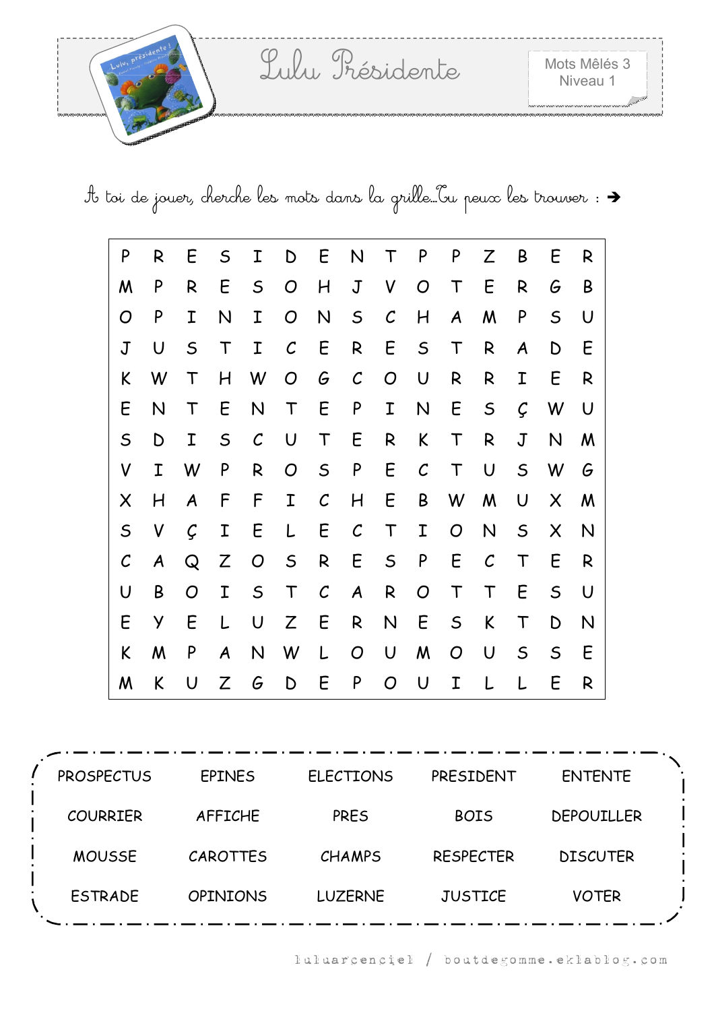

A toi de jouer, cherche les mots dans la grille…Tu peux les trouver :

| P             | R                | E             | S                         | Ι              | D            | Ε                 | N                | Τ            | P              | P           | Z             | Β              | E              | R      |
|---------------|------------------|---------------|---------------------------|----------------|--------------|-------------------|------------------|--------------|----------------|-------------|---------------|----------------|----------------|--------|
| M             | P                | R             | E                         | $\mathsf S$    | O            | H                 | $\mathbf J$      | V            | O              | Τ           | E             | R              | G              | B      |
| O             | P                | Ι             | N                         | I              | O            | $\mathsf{N}$      | $\mathsf S$      | $\mathcal C$ | H              | A           | M             | P              | $\mathsf S$    | U      |
| $\mathbf J$   | U                | $\mathsf S$   | T                         | Ι              | $\mathcal C$ | E                 | $\mathsf{R}$     | E            | $\mathsf S$    | T           | R             | A              | D              | E      |
| K             | W                | $\mathsf T$   | H                         | W              | O            | G                 | $\mathcal{C}$    | O            | U              | R           | R             | I              | E              | R      |
| E             | N                | T             | E                         | N              | T            | E                 | P                | I            | $\mathsf{N}$   | E           | $\mathsf S$   | Ç              | W              | U      |
| $\mathsf S$   | D                | I             | $\mathsf S$               | $\mathcal{C}$  | U            | T                 | E                | R            | K              | T           | R             | $\overline{J}$ | N              | M      |
| V             | I                | W             | P                         | R              | O            | $\mathsf S$       | ${\sf P}$        | E            | $\mathcal{C}$  | T           | U             | $\mathsf S$    | W              | G      |
| $\times$      | H                | A             | F                         | F              | I            | $\mathcal{C}_{0}$ | H                | E            | B              | W           | M             | U              | $\times$       | M      |
| $\mathsf S$   | V                | $\mathcal{C}$ | I                         | E              | L            | E                 | $\mathcal{C}$    | T            | I              | O           | N             | $\mathsf S$    | $\pmb{\times}$ | N      |
| $\mathcal{C}$ | $\boldsymbol{A}$ | Q             | $\ensuremath{\mathsf{Z}}$ | $\overline{O}$ | $\mathsf S$  | R                 | E                | $\mathsf S$  | ${\sf P}$      | E           | $\mathcal{C}$ | $\top$         | E              | R      |
| U             | B                | O             | I                         | $\mathsf S$    | $\mathsf T$  | $\mathcal{C}_{0}$ | $\boldsymbol{A}$ | R            | $\overline{O}$ | T           | T             | E              | $\mathsf S$    | $\cup$ |
| E             | У                | E             | L                         | U              | Z            | E                 | $\mathsf{R}$     | N            | E              | $\mathsf S$ | K             | T              | D              | N      |
| K             | M                | P             | A                         | N              | W            | L                 | O                | U            | M              | O           | U             | $\mathsf S$    | $\mathsf S$    | E      |
| M             | K                | U             | Z                         | G              | D            | Ε                 | P                | O            | U              | Ι           |               |                | E              | R      |

PROSPECTUS EPINES ELECTIONS PRESIDENT ENTENTE COURRIER AFFICHE PRES BOIS DEPOUILLER MOUSSE CAROTTES CHAMPS RESPECTER DISCUTER ESTRADE OPINIONS LUZERNE JUSTICE VOTER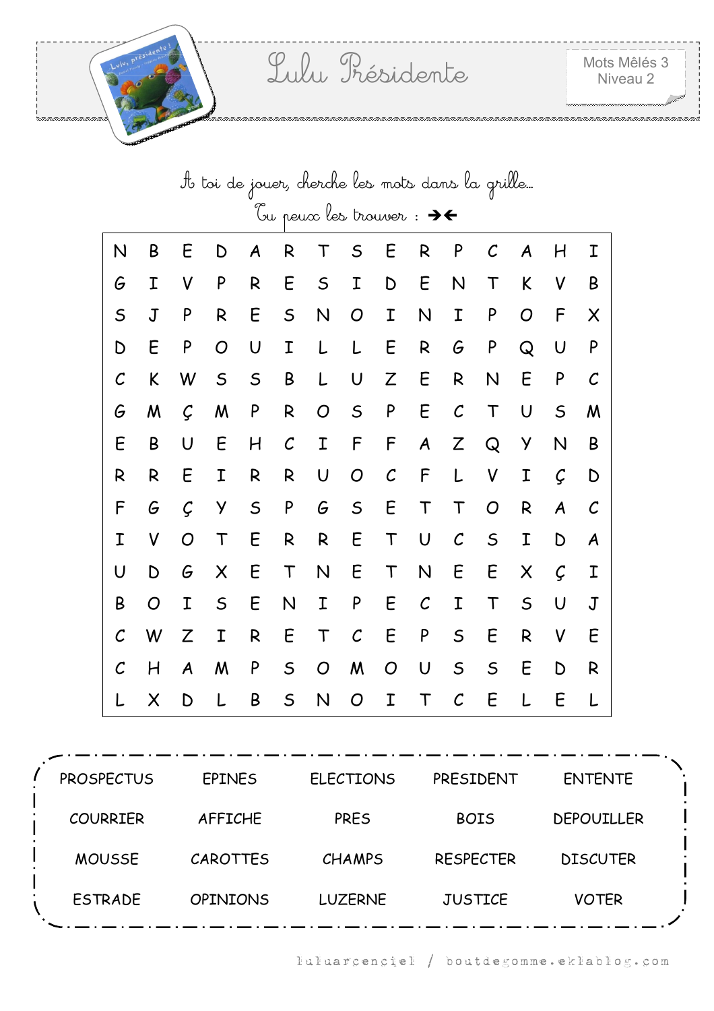|                   | to toi de jouer, cherche les mots dans la grille |   |             |             |              |             |               |               |               |               |              |             |             |                |
|-------------------|--------------------------------------------------|---|-------------|-------------|--------------|-------------|---------------|---------------|---------------|---------------|--------------|-------------|-------------|----------------|
|                   | Tu peux les trouver : $\rightarrow \leftarrow$   |   |             |             |              |             |               |               |               |               |              |             |             |                |
| N                 | B                                                | E | D           | A           | R            | Τ           | $\mathsf S$   | E             | R             | P             | $\mathcal C$ | A           | H           | Ι              |
| G                 | Ι                                                | V | P           | R           | E            | $\mathsf S$ | I             | D             | E             | N             | T            | K           | V           | B              |
| $\mathsf S$       | $\mathsf J$                                      | P | R           | E           | $\mathsf S$  | N           | O             | Ι             | N             | I             | P            | O           | F           | Χ              |
| D                 | E                                                | P | O           | U           | I            | L           | L             | E             | $\mathsf{R}$  | G             | $\mathsf{P}$ | Q           | U           | P              |
| $\mathcal{C}_{0}$ | K                                                | W | $\mathsf S$ | $\mathsf S$ | B            | L           | U             | Z             | E             | R             | N            | E           | P           | $\mathcal C$   |
| G                 | M                                                | Ç | M           | P           | R            | O           | $\mathsf S$   | P             | E             | $\mathcal{C}$ | $\mathsf T$  | U           | $\mathsf S$ | M              |
| E                 | B                                                | U | E           | H           | $\mathcal C$ | I           | F             | F             | A             | Z             | Q            | Y           | N           | Β              |
| R                 | R                                                | Ε | I           | R           | R            | U           | O             | $\mathcal{C}$ | F             | L             | V            | I           | Ç           | D              |
| F                 | G                                                | Ç | У           | $\mathsf S$ | P            | G           | $\mathsf S$   | E             | T             | T             | O            | R           | A           | $\cal C$       |
| Ι                 | V                                                | O | T           | Ε           | R            | R           | E             | $\mathsf T$   | U             | $\mathcal{C}$ | $\mathsf S$  | I           | D           | A              |
| U                 | D                                                | G | X           | E           | $\top$       | N           | E             | $\mathsf T$   | N             | E             | E            | X           | Ç           | Ι              |
| B                 | O                                                | I | $\mathsf S$ | E           | N            | Ι           | P             | E             | $\mathcal{C}$ | I             | T            | $\mathsf S$ | U           | $\overline{J}$ |
| $\mathcal{C}$     | W                                                | Z | Ι           | R           | E            | $\mathsf T$ | $\mathcal{C}$ | E             | P             | $\mathsf S$   | E            | R           | V           | E              |
| $\mathcal{C}_{0}$ | H                                                | A | M           | P           | $\mathsf S$  | O           | M             | O             | U             | $\mathsf S$   | $\mathsf S$  | E           | D           | R              |
|                   | Χ                                                | D |             | Β           | $\mathsf S$  | N           | O             | Ι             | Т             | $\mathcal C$  | E            |             | Ε           |                |

| <b>PROSPECTUS</b> | <b>EPINES</b>   | <b>ELECTIONS</b> | PRESIDENT        | <b>ENTENTE</b>    |  |
|-------------------|-----------------|------------------|------------------|-------------------|--|
| <b>COURRIER</b>   | <b>AFFICHE</b>  | <b>PRES</b>      | <b>BOIS</b>      | <b>DEPOUILLER</b> |  |
| <b>MOUSSE</b>     | <b>CAROTTES</b> | <b>CHAMPS</b>    | <b>RESPECTER</b> | <b>DISCUTER</b>   |  |
| <b>ESTRADE</b>    | <b>OPINIONS</b> | <b>LUZERNE</b>   | <b>JUSTICE</b>   | <b>VOTER</b>      |  |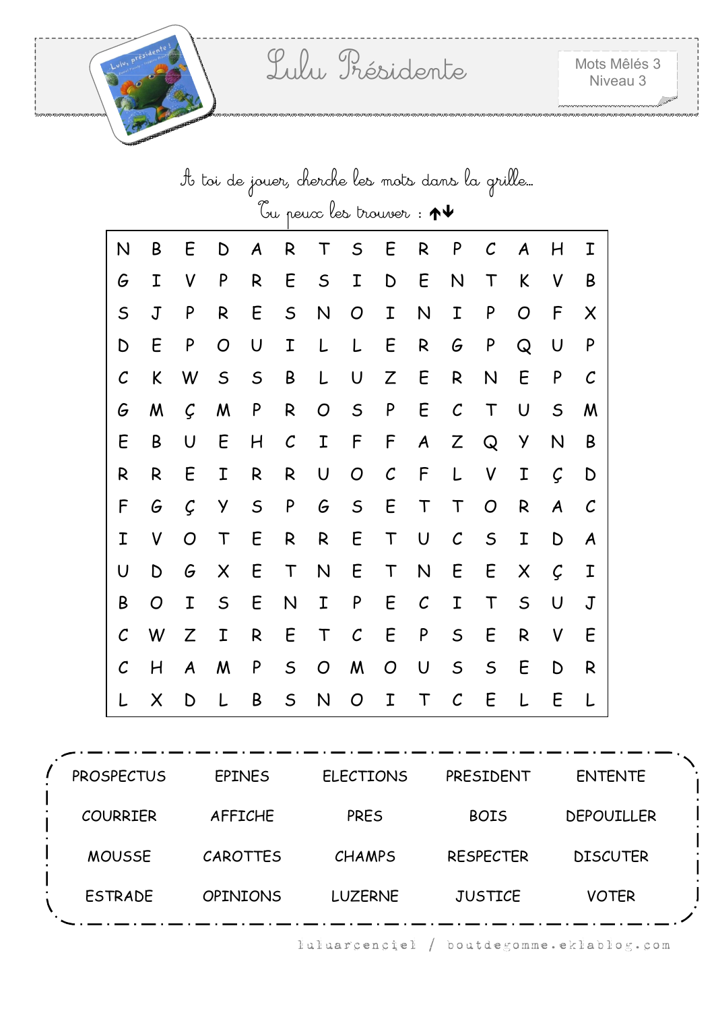|                   | It toi de jouer, cherche les mots dans la grille… |   |             |             |               |             |               |               |               |               |              |             |                  |              |
|-------------------|---------------------------------------------------|---|-------------|-------------|---------------|-------------|---------------|---------------|---------------|---------------|--------------|-------------|------------------|--------------|
|                   | bu peux les trouver: $\bm{\uparrow \downarrow}$   |   |             |             |               |             |               |               |               |               |              |             |                  |              |
| N                 | B                                                 | E | D           | A           | R             | Т           | $\mathsf S$   | E             | R             | P             | $\mathcal C$ | A           | H                | Ι            |
| G                 | I                                                 | V | P           | R           | E             | $\mathsf S$ | I             | D             | E             | N             | T            | K           | V                | B            |
| $\mathsf S$       | $\mathbf J$                                       | P | R           | E           | $\mathsf S$   | N           | O             | I             | N             | I             | P            | O           | F                | X            |
| D                 | E                                                 | P | O           | U           | I             | L           | L             | E             | R             | G             | ${\sf P}$    | Q           | U                | P            |
| $\mathcal{C}_{0}$ | K                                                 | W | $\mathsf S$ | $\mathsf S$ | B             | L           | U             | Z             | E             | R             | N            | E           | P                | C            |
| G                 | M                                                 | Ç | M           | P           | R             | O           | $\mathsf S$   | P             | E             | $\mathcal{C}$ | Τ            | U           | $\mathsf S$      | M            |
| Ε                 | B                                                 | U | E           | H           | $\mathcal{C}$ | Ι           | F             | F             | A             | Z             | Q            | У           | N                | B            |
| R                 | R                                                 | E | I           | R           | R             | U           | O             | $\mathcal{C}$ | F             | L             | V            | Ι           | Ç                | D            |
| F                 | G                                                 | Ç | У           | $\mathsf S$ | P             | G           | $\mathsf S$   | E             | $\top$        | T             | O            | R           | $\boldsymbol{A}$ | $\mathcal C$ |
| I                 | V                                                 | O | $\mathsf T$ | E           | R             | R           | E             | T             | $\cup$        | $\mathcal{C}$ | $\mathsf S$  | I           | D                | A            |
| U                 | D                                                 | G | $\times$    | E           | $\sf T$       | N           | E             | $\top$        | N             | E             | E            | X           | Ç                | I            |
| B                 | O                                                 | I | $\mathsf S$ | E           | N             | Ι           | P             | Ε             | $\mathcal{C}$ | Ι             | T            | $\mathsf S$ | U                | $\mathbf J$  |
| $\mathcal C$      | W                                                 | Z | I           | R           | E             | $\mathsf T$ | $\mathcal{C}$ | E             | ${\sf P}$     | $\mathsf S$   | E            | R           | V                | E            |
| $\mathcal C$      | Η                                                 | A | W           | P           | $\mathsf S$   | O           | M             | O             | U             | $\mathsf S$   | $\mathsf S$  | E           | D                | R            |
|                   | X                                                 | D | L           | B           | $\mathsf S$   | N           | O             | Ι             | T             | $\mathcal C$  | E            | L           | E                | L            |

| <b>PROSPECTUS</b> | <b>EPINES</b>   | <b>ELECTIONS</b> | PRESIDENT        | <b>ENTENTE</b>    |  |
|-------------------|-----------------|------------------|------------------|-------------------|--|
| <b>COURRIER</b>   | <b>AFFICHE</b>  | PRES             | <b>BOIS</b>      | <b>DEPOUILLER</b> |  |
| <b>MOUSSE</b>     | CAROTTES        | <b>CHAMPS</b>    | <b>RESPECTER</b> | <b>DISCUTER</b>   |  |
| <b>ESTRADE</b>    | <b>OPINIONS</b> | <b>LUZERNE</b>   | <b>JUSTICE</b>   | <b>VOTER</b>      |  |
|                   |                 |                  |                  |                   |  |

luluarcenciel / boutdegomme.eklablog.com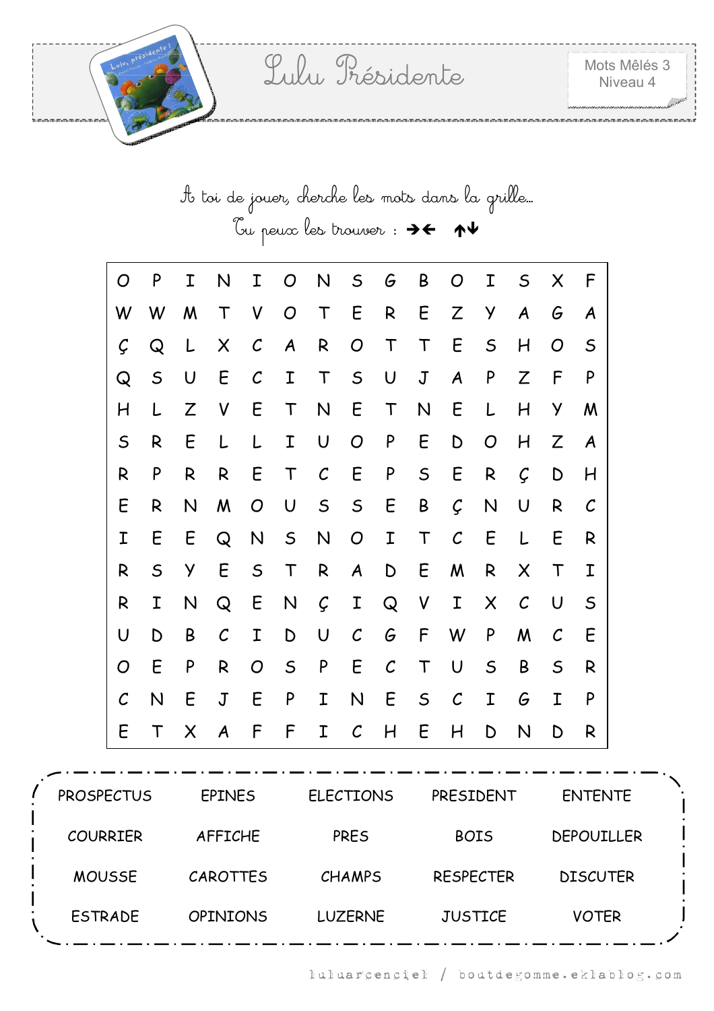| to toi de jouer, cherche les mots dans la grille |  |  |
|--------------------------------------------------|--|--|
|                                                  |  |  |

| O                 | P            | Ι | N                | Ι              | O                | N             | $\mathsf{S}$     | G             | B            | O                | I              | $\mathsf S$       | X            | F            |
|-------------------|--------------|---|------------------|----------------|------------------|---------------|------------------|---------------|--------------|------------------|----------------|-------------------|--------------|--------------|
| W                 | W            | M | $\mathsf T$      | V              | $\overline{O}$   | $\mathsf T$   | E                | R             | E            | Z                | У              | A                 | G            | A            |
| Ç                 | Q            | L | $\times$         | $\mathcal C$   | $\boldsymbol{A}$ | R             | $\overline{O}$   | $\mathsf T$   | $\mathsf T$  | E                | $\mathsf{S}$   | H                 | O            | $\mathsf S$  |
| Q                 | $\mathsf{S}$ | U | E                | $\mathcal{C}$  | I                | $\mathsf T$   | $\mathsf{S}$     | $\cup$        | $\mathsf J$  | $\boldsymbol{A}$ | P              | Z                 | F            | P            |
| H                 | L            | Z | V                | E              | $\top$           | N             | E                | $\mathsf T$   | $\mathsf{N}$ | E                | L              | H                 | Y            | M            |
| $\mathsf S$       | R            | E | L                | L              | I                | U             | $\overline{O}$   | P             | E            | D                | $\overline{O}$ | H                 | Z            | A            |
| R                 | P            | R | R                | E              | $\top$           | $\mathcal{C}$ | E                | P             | $\mathsf S$  | E                | R              | Ç                 | D            | H            |
| E                 | R            | N | M                | O              | $\cup$           | $\mathsf{S}$  | $\mathsf{S}$     | E             | B            | $\mathcal{C}$    | N              | U                 | R            | $\mathcal C$ |
| Ι                 | E            | E | Q                | $\mathsf{N}$   | S                | N             | $\overline{O}$   | I             | $\top$       | $\mathcal{C}$    | E              | L                 | E            | R            |
| R                 | $\mathsf S$  | Y | E                | $\mathsf S$    | $\mathsf T$      | R             | $\boldsymbol{A}$ | D             | E            | M                | $\mathsf{R}$   | X                 | $\mathsf T$  | Ι            |
| R                 | I            | N | Q                | E              | $\mathsf{N}$     | Ç             | I                | Q             | V            | $\mathbf I$      | $\times$       | $\mathcal{C}_{0}$ | $\cup$       | $\mathsf S$  |
| U                 | D            | B | $\mathcal C$     | Ι              | D                | U             | $\mathcal C$     | G             | F            | W                | P              | M                 | $\mathcal C$ | E            |
| O                 | E            | P | R                | $\overline{O}$ | $\mathsf{S}$     | P             | E                | $\mathcal{C}$ | $\mathsf T$  | $\cup$           | $\mathsf S$    | B                 | $\mathsf{S}$ | R            |
| $\mathcal{C}_{0}$ | N            | E | $\mathbf J$      | E              | P                | I             | N                | E             | $\mathsf{S}$ | $\mathcal{C}$    | I              | G                 | I            | P            |
| E                 | $\top$       | X | $\boldsymbol{A}$ | F              | F                | I             | $\mathcal C$     | H             | E            | H                | D              | N                 | D            | R            |

| <b>PROSPECTUS</b> | <b>EPINES</b>   | <b>ELECTIONS</b> | PRESIDENT        | <b>ENTENTE</b>    |  |
|-------------------|-----------------|------------------|------------------|-------------------|--|
| <b>COURRIER</b>   | <b>AFFICHE</b>  | <b>PRES</b>      | <b>BOIS</b>      | <b>DEPOUILLER</b> |  |
| <b>MOUSSE</b>     | <b>CAROTTES</b> | <b>CHAMPS</b>    | <b>RESPECTER</b> | <b>DISCUTER</b>   |  |
| <b>ESTRADE</b>    | <b>OPINIONS</b> | <b>LUZERNE</b>   | <b>JUSTICE</b>   | <b>VOTER</b>      |  |
|                   |                 |                  |                  |                   |  |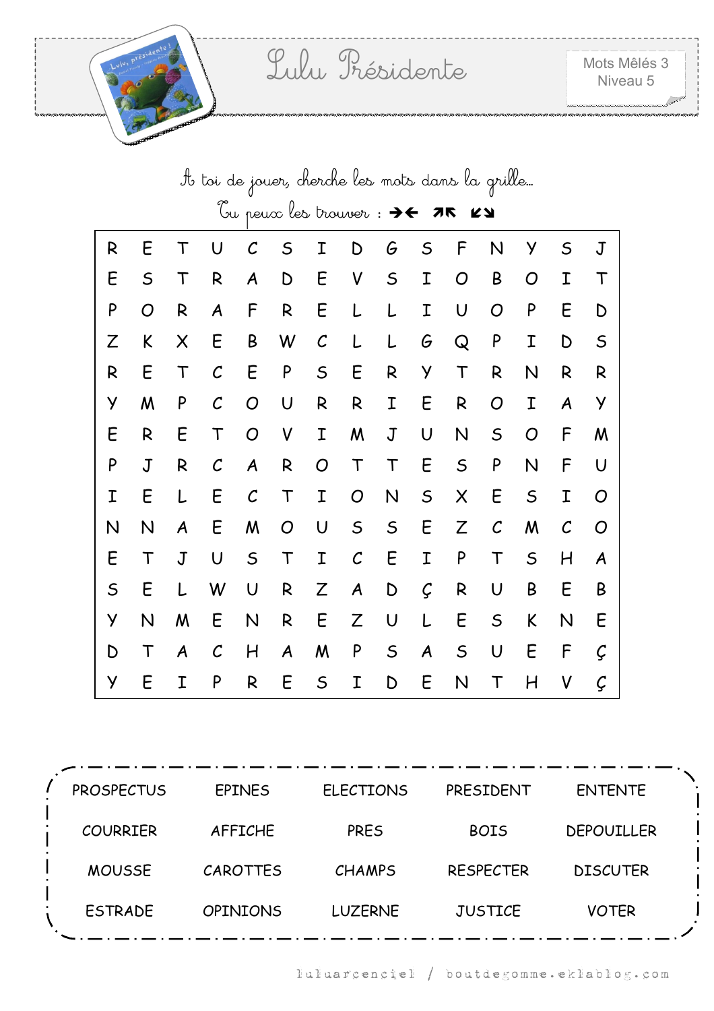|             | to toi de jouer, cherche les mots dans la grille |                  |                   |                  |                |                   |             |             |             |             |               |             |               |             |
|-------------|--------------------------------------------------|------------------|-------------------|------------------|----------------|-------------------|-------------|-------------|-------------|-------------|---------------|-------------|---------------|-------------|
|             |                                                  |                  |                   |                  |                |                   |             |             |             | K7          |               |             |               |             |
| R           | Ε                                                | Т                | U                 | ${\cal C}$       | $\mathsf S$    | Ι                 | D           | G           | $\mathsf S$ | F           | N             | У           | $\mathsf S$   | $\mathbf J$ |
| E           | $\mathsf S$                                      | $\mathsf T$      | R                 | A                | D              | E                 | V           | $\mathsf S$ | I           | O           | B             | O           | I             | Τ           |
| P           | O                                                | R                | A                 | F                | R              | E                 | L           | L           | Ι           | U           | O             | P           | E             | D           |
| Z           | K                                                | X                | E                 | B                | W              | $\mathcal{C}_{0}$ | L           |             | G           | Q           | P             | Ι           | D             | $\mathsf S$ |
| R           | E                                                | T                | $\mathcal{C}_{0}$ | Ε                | P              | $\mathsf S$       | E           | R           | У           | T           | R             | N           | R             | R           |
| У           | Μ                                                | P                | $\mathcal{C}$     | $\overline{O}$   | U              | R                 | R           | Ι           | E           | R           | O             | I           | A             | У           |
| E           | R                                                | E                | T                 | O                | V              | I                 | M           | J           | U           | N           | $\mathsf S$   | O           | F             | M           |
| P           | $\mathsf J$                                      | R                | $\mathcal{C}$     | $\boldsymbol{A}$ | $\mathsf{R}$   | O                 | $\mathsf T$ | T           | E           | $\mathsf S$ | P             | N           | F             | U           |
| Ι           | E                                                |                  | E                 | $\mathcal{C}$    | T              | Ι                 | O           | N           | $\mathsf S$ | X           | E             | $\mathsf S$ | I             | O           |
| N           | N                                                | A                | E                 | M                | $\overline{O}$ | U                 | $\mathsf S$ | $\mathsf S$ | E           | Z           | $\mathcal{C}$ | M           | $\mathcal{C}$ | O           |
| E           | T                                                | $\mathsf J$      | U                 | $\mathsf S$      | T              | I                 | $\cal C$    | E           | I           | P           | T             | $\mathsf S$ | H             | A           |
| $\mathsf S$ | E                                                |                  | W                 | U                | R              | Z                 | A           | D           | Ç           | R           | U             | B           | E             | B           |
| У           | N                                                | M                | E                 | N                | R              | E                 | Z           | U           | L           | Ε           | $\mathsf S$   | K           | N             | E           |
| D           | T                                                | $\boldsymbol{A}$ | $\mathcal{C}$     | H                | A              | M                 | P           | $\mathsf S$ | A           | $\mathsf S$ | U             | E           | F             | Ç           |
| У           | E                                                | Ι                | P                 | R                | E              | $\mathsf S$       | Ι           | D           | E           | N           | Т             | H           | V             | Ç           |

| <b>PROSPECTUS</b> | <b>EPINES</b>   | <b>ELECTIONS</b> | PRESIDENT        | <b>ENTENTE</b>    |
|-------------------|-----------------|------------------|------------------|-------------------|
| <b>COURRIER</b>   | <b>AFFICHE</b>  | <b>PRES</b>      | <b>BOIS</b>      | <b>DEPOUILLER</b> |
| <b>MOUSSE</b>     | <b>CAROTTES</b> | <b>CHAMPS</b>    | <b>RESPECTER</b> | <b>DISCUTER</b>   |
| <b>ESTRADE</b>    | <b>OPINIONS</b> | <b>LUZERNE</b>   | <b>JUSTICE</b>   | <b>VOTER</b>      |